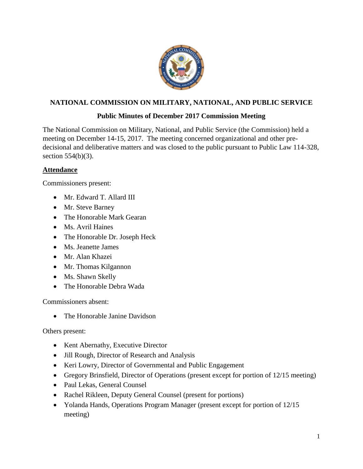

# **NATIONAL COMMISSION ON MILITARY, NATIONAL, AND PUBLIC SERVICE**

## **Public Minutes of December 2017 Commission Meeting**

The National Commission on Military, National, and Public Service (the Commission) held a meeting on December 14-15, 2017. The meeting concerned organizational and other predecisional and deliberative matters and was closed to the public pursuant to Public Law 114-328, section 554(b)(3).

## **Attendance**

Commissioners present:

- Mr. Edward T. Allard III
- Mr. Steve Barney
- The Honorable Mark Gearan
- Ms. Avril Haines
- The Honorable Dr. Joseph Heck
- Ms. Jeanette James
- Mr. Alan Khazei
- Mr. Thomas Kilgannon
- Ms. Shawn Skelly
- The Honorable Debra Wada

Commissioners absent:

• The Honorable Janine Davidson

Others present:

- Kent Abernathy, Executive Director
- Jill Rough, Director of Research and Analysis
- Keri Lowry, Director of Governmental and Public Engagement
- Gregory Brinsfield, Director of Operations (present except for portion of 12/15 meeting)
- Paul Lekas, General Counsel
- Rachel Rikleen, Deputy General Counsel (present for portions)
- Yolanda Hands, Operations Program Manager (present except for portion of 12/15 meeting)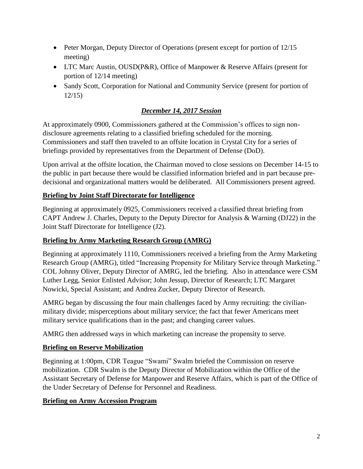- Peter Morgan, Deputy Director of Operations (present except for portion of 12/15 meeting)
- LTC Marc Austin, OUSD(P&R), Office of Manpower & Reserve Affairs (present for portion of 12/14 meeting)
- Sandy Scott, Corporation for National and Community Service (present for portion of 12/15)

# *December 14, 2017 Session*

At approximately 0900, Commissioners gathered at the Commission's offices to sign nondisclosure agreements relating to a classified briefing scheduled for the morning. Commissioners and staff then traveled to an offsite location in Crystal City for a series of briefings provided by representatives from the Department of Defense (DoD).

Upon arrival at the offsite location, the Chairman moved to close sessions on December 14-15 to the public in part because there would be classified information briefed and in part because predecisional and organizational matters would be deliberated. All Commissioners present agreed.

## **Briefing by Joint Staff Directorate for Intelligence**

Beginning at approximately 0925, Commissioners received a classified threat briefing from CAPT Andrew J. Charles, Deputy to the Deputy Director for Analysis & Warning (DJ22) in the Joint Staff Directorate for Intelligence (J2).

## **Briefing by Army Marketing Research Group (AMRG)**

Beginning at approximately 1110, Commissioners received a briefing from the Army Marketing Research Group (AMRG), titled "Increasing Propensity for Military Service through Marketing." COL Johnny Oliver, Deputy Director of AMRG, led the briefing. Also in attendance were CSM Luther Legg, Senior Enlisted Advisor; John Jessup, Director of Research; LTC Margaret Nowicki, Special Assistant; and Andrea Zucker, Deputy Director of Research.

AMRG began by discussing the four main challenges faced by Army recruiting: the civilianmilitary divide; misperceptions about military service; the fact that fewer Americans meet military service qualifications than in the past; and changing career values.

AMRG then addressed ways in which marketing can increase the propensity to serve.

## **Briefing on Reserve Mobilization**

Beginning at 1:00pm, CDR Teague "Swami" Swalm briefed the Commission on reserve mobilization. CDR Swalm is the Deputy Director of Mobilization within the Office of the Assistant Secretary of Defense for Manpower and Reserve Affairs, which is part of the Office of the Under Secretary of Defense for Personnel and Readiness.

#### **Briefing on Army Accession Program**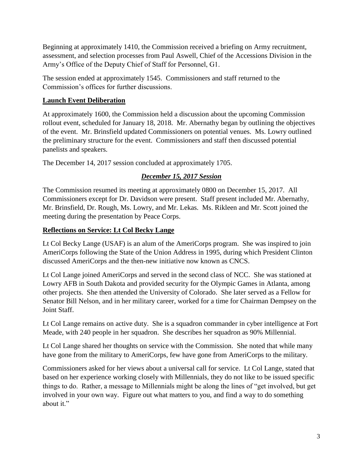Beginning at approximately 1410, the Commission received a briefing on Army recruitment, assessment, and selection processes from Paul Aswell, Chief of the Accessions Division in the Army's Office of the Deputy Chief of Staff for Personnel, G1.

The session ended at approximately 1545. Commissioners and staff returned to the Commission's offices for further discussions.

## **Launch Event Deliberation**

At approximately 1600, the Commission held a discussion about the upcoming Commission rollout event, scheduled for January 18, 2018. Mr. Abernathy began by outlining the objectives of the event. Mr. Brinsfield updated Commissioners on potential venues. Ms. Lowry outlined the preliminary structure for the event. Commissioners and staff then discussed potential panelists and speakers.

The December 14, 2017 session concluded at approximately 1705.

# *December 15, 2017 Session*

The Commission resumed its meeting at approximately 0800 on December 15, 2017. All Commissioners except for Dr. Davidson were present. Staff present included Mr. Abernathy, Mr. Brinsfield, Dr. Rough, Ms. Lowry, and Mr. Lekas. Ms. Rikleen and Mr. Scott joined the meeting during the presentation by Peace Corps.

## **Reflections on Service: Lt Col Becky Lange**

Lt Col Becky Lange (USAF) is an alum of the AmeriCorps program. She was inspired to join AmeriCorps following the State of the Union Address in 1995, during which President Clinton discussed AmeriCorps and the then-new initiative now known as CNCS.

Lt Col Lange joined AmeriCorps and served in the second class of NCC. She was stationed at Lowry AFB in South Dakota and provided security for the Olympic Games in Atlanta, among other projects. She then attended the University of Colorado. She later served as a Fellow for Senator Bill Nelson, and in her military career, worked for a time for Chairman Dempsey on the Joint Staff.

Lt Col Lange remains on active duty. She is a squadron commander in cyber intelligence at Fort Meade, with 240 people in her squadron. She describes her squadron as 90% Millennial.

Lt Col Lange shared her thoughts on service with the Commission. She noted that while many have gone from the military to AmeriCorps, few have gone from AmeriCorps to the military.

Commissioners asked for her views about a universal call for service. Lt Col Lange, stated that based on her experience working closely with Millennials, they do not like to be issued specific things to do. Rather, a message to Millennials might be along the lines of "get involved, but get involved in your own way. Figure out what matters to you, and find a way to do something about it."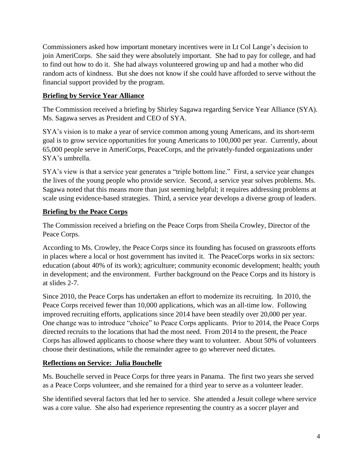Commissioners asked how important monetary incentives were in Lt Col Lange's decision to join AmeriCorps. She said they were absolutely important. She had to pay for college, and had to find out how to do it. She had always volunteered growing up and had a mother who did random acts of kindness. But she does not know if she could have afforded to serve without the financial support provided by the program.

## **Briefing by Service Year Alliance**

The Commission received a briefing by Shirley Sagawa regarding Service Year Alliance (SYA). Ms. Sagawa serves as President and CEO of SYA.

SYA's vision is to make a year of service common among young Americans, and its short-term goal is to grow service opportunities for young Americans to 100,000 per year. Currently, about 65,000 people serve in AmeriCorps, PeaceCorps, and the privately-funded organizations under SYA's umbrella.

SYA's view is that a service year generates a "triple bottom line." First, a service year changes the lives of the young people who provide service. Second, a service year solves problems. Ms. Sagawa noted that this means more than just seeming helpful; it requires addressing problems at scale using evidence-based strategies. Third, a service year develops a diverse group of leaders.

## **Briefing by the Peace Corps**

The Commission received a briefing on the Peace Corps from Sheila Crowley, Director of the Peace Corps.

According to Ms. Crowley, the Peace Corps since its founding has focused on grassroots efforts in places where a local or host government has invited it. The PeaceCorps works in six sectors: education (about 40% of its work); agriculture; community economic development; health; youth in development; and the environment. Further background on the Peace Corps and its history is at slides 2-7.

Since 2010, the Peace Corps has undertaken an effort to modernize its recruiting. In 2010, the Peace Corps received fewer than 10,000 applications, which was an all-time low. Following improved recruiting efforts, applications since 2014 have been steadily over 20,000 per year. One change was to introduce "choice" to Peace Corps applicants. Prior to 2014, the Peace Corps directed recruits to the locations that had the most need. From 2014 to the present, the Peace Corps has allowed applicants to choose where they want to volunteer. About 50% of volunteers choose their destinations, while the remainder agree to go wherever need dictates.

#### **Reflections on Service: Julia Bouchelle**

Ms. Bouchelle served in Peace Corps for three years in Panama. The first two years she served as a Peace Corps volunteer, and she remained for a third year to serve as a volunteer leader.

She identified several factors that led her to service. She attended a Jesuit college where service was a core value. She also had experience representing the country as a soccer player and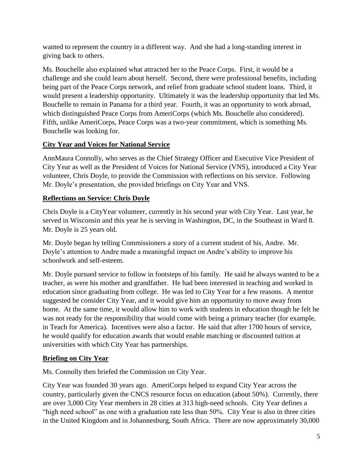wanted to represent the country in a different way. And she had a long-standing interest in giving back to others.

Ms. Bouchelle also explained what attracted her to the Peace Corps. First, it would be a challenge and she could learn about herself. Second, there were professional benefits, including being part of the Peace Corps network, and relief from graduate school student loans. Third, it would present a leadership opportunity. Ultimately it was the leadership opportunity that led Ms. Bouchelle to remain in Panama for a third year. Fourth, it was an opportunity to work abroad, which distinguished Peace Corps from AmeriCorps (which Ms. Bouchelle also considered). Fifth, unlike AmeriCorps, Peace Corps was a two-year commitment, which is something Ms. Bouchelle was looking for.

# **City Year and Voices for National Service**

AnnMaura Connolly, who serves as the Chief Strategy Officer and Executive Vice President of City Year as well as the President of Voices for National Service (VNS), introduced a City Year volunteer, Chris Doyle, to provide the Commission with reflections on his service. Following Mr. Doyle's presentation, she provided briefings on City Year and VNS.

# **Reflections on Service: Chris Doyle**

Chris Doyle is a CityYear volunteer, currently in his second year with City Year. Last year, he served in Wisconsin and this year he is serving in Washington, DC, in the Southeast in Ward 8. Mr. Doyle is 25 years old.

Mr. Doyle began by telling Commissioners a story of a current student of his, Andre. Mr. Doyle's attention to Andre made a meaningful impact on Andre's ability to improve his schoolwork and self-esteem.

Mr. Doyle pursued service to follow in footsteps of his family. He said he always wanted to be a teacher, as were his mother and grandfather. He had been interested in teaching and worked in education since graduating from college. He was led to City Year for a few reasons. A mentor suggested he consider City Year, and it would give him an opportunity to move away from home. At the same time, it would allow him to work with students in education though he felt he was not ready for the responsibility that would come with being a primary teacher (for example, in Teach for America). Incentives were also a factor. He said that after 1700 hours of service, he would qualify for education awards that would enable matching or discounted tuition at universities with which City Year has partnerships.

## **Briefing on City Year**

Ms. Connolly then briefed the Commission on City Year.

City Year was founded 30 years ago. AmeriCorps helped to expand City Year across the country, particularly given the CNCS resource focus on education (about 50%). Currently, there are over 3,000 City Year members in 28 cities at 313 high-need schools. City Year defines a "high need school" as one with a graduation rate less than 50%. City Year is also in three cities in the United Kingdom and in Johannesburg, South Africa. There are now approximately 30,000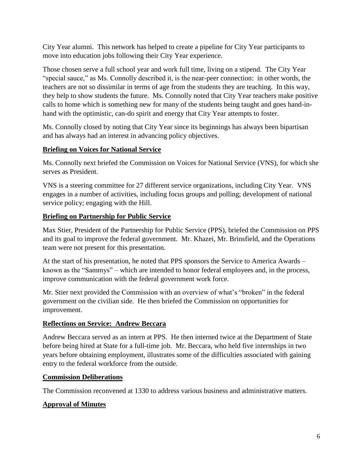City Year alumni. This network has helped to create a pipeline for City Year participants to move into education jobs following their City Year experience.

Those chosen serve a full school year and work full time, living on a stipend. The City Year "special sauce," as Ms. Connolly described it, is the near-peer connection: in other words, the teachers are not so dissimilar in terms of age from the students they are teaching. In this way, they help to show students the future. Ms. Connolly noted that City Year teachers make positive calls to home which is something new for many of the students being taught and goes hand-inhand with the optimistic, can-do spirit and energy that City Year attempts to foster.

Ms. Connolly closed by noting that City Year since its beginnings has always been bipartisan and has always had an interest in advancing policy objectives.

## **Briefing on Voices for National Service**

Ms. Connolly next briefed the Commission on Voices for National Service (VNS), for which she serves as President.

VNS is a steering committee for 27 different service organizations, including City Year. VNS engages in a number of activities, including focus groups and polling; development of national service policy; engaging with the Hill.

## **Briefing on Partnership for Public Service**

Max Stier, President of the Partnership for Public Service (PPS), briefed the Commission on PPS and its goal to improve the federal government. Mr. Khazei, Mr. Brinsfield, and the Operations team were not present for this presentation.

At the start of his presentation, he noted that PPS sponsors the Service to America Awards – known as the "Sammys" – which are intended to honor federal employees and, in the process, improve communication with the federal government work force.

Mr. Stier next provided the Commission with an overview of what's "broken" in the federal government on the civilian side. He then briefed the Commission on opportunities for improvement.

#### **Reflections on Service: Andrew Beccara**

Andrew Beccara served as an intern at PPS. He then interned twice at the Department of State before being hired at State for a full-time job. Mr. Beccara, who held five internships in two years before obtaining employment, illustrates some of the difficulties associated with gaining entry to the federal workforce from the outside.

#### **Commission Deliberations**

The Commission reconvened at 1330 to address various business and administrative matters.

## **Approval of Minutes**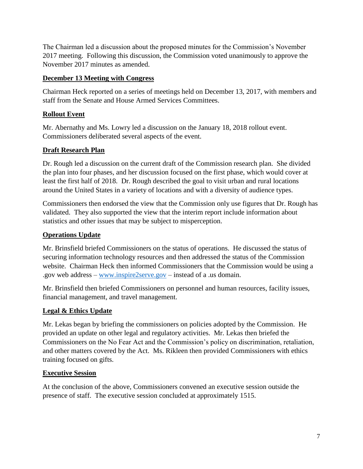The Chairman led a discussion about the proposed minutes for the Commission's November 2017 meeting. Following this discussion, the Commission voted unanimously to approve the November 2017 minutes as amended.

### **December 13 Meeting with Congress**

Chairman Heck reported on a series of meetings held on December 13, 2017, with members and staff from the Senate and House Armed Services Committees.

## **Rollout Event**

Mr. Abernathy and Ms. Lowry led a discussion on the January 18, 2018 rollout event. Commissioners deliberated several aspects of the event.

## **Draft Research Plan**

Dr. Rough led a discussion on the current draft of the Commission research plan. She divided the plan into four phases, and her discussion focused on the first phase, which would cover at least the first half of 2018. Dr. Rough described the goal to visit urban and rural locations around the United States in a variety of locations and with a diversity of audience types.

Commissioners then endorsed the view that the Commission only use figures that Dr. Rough has validated. They also supported the view that the interim report include information about statistics and other issues that may be subject to misperception.

## **Operations Update**

Mr. Brinsfield briefed Commissioners on the status of operations. He discussed the status of securing information technology resources and then addressed the status of the Commission website. Chairman Heck then informed Commissioners that the Commission would be using a .gov web address – [www.inspire2serve.gov](http://www.inspire2serve.gov/) – instead of a .us domain.

Mr. Brinsfield then briefed Commissioners on personnel and human resources, facility issues, financial management, and travel management.

## **Legal & Ethics Update**

Mr. Lekas began by briefing the commissioners on policies adopted by the Commission. He provided an update on other legal and regulatory activities. Mr. Lekas then briefed the Commissioners on the No Fear Act and the Commission's policy on discrimination, retaliation, and other matters covered by the Act. Ms. Rikleen then provided Commissioners with ethics training focused on gifts.

## **Executive Session**

At the conclusion of the above, Commissioners convened an executive session outside the presence of staff. The executive session concluded at approximately 1515.